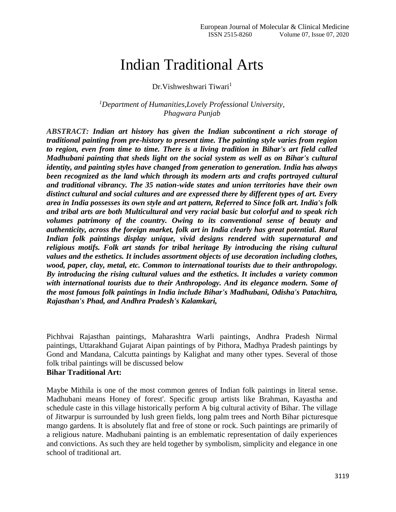# Indian Traditional Arts

Dr. Vishweshwari Tiwari<sup>1</sup>

*<sup>1</sup>Department of Humanities,Lovely Professional University, Phagwara Punjab*

*ABSTRACT: Indian art history has given the Indian subcontinent a rich storage of traditional painting from pre-history to present time. The painting style varies from region to region, even from time to time. There is a living tradition in Bihar's art field called Madhubani painting that sheds light on the social system as well as on Bihar's cultural identity, and painting styles have changed from generation to generation. India has always been recognized as the land which through its modern arts and crafts portrayed cultural and traditional vibrancy. The 35 nation-wide states and union territories have their own distinct cultural and social cultures and are expressed there by different types of art. Every area in India possesses its own style and art pattern, Referred to Since folk art. India's folk and tribal arts are both Multicultural and very racial basic but colorful and to speak rich volumes patrimony of the country. Owing to its conventional sense of beauty and authenticity, across the foreign market, folk art in India clearly has great potential. Rural Indian folk paintings display unique, vivid designs rendered with supernatural and religious motifs. Folk art stands for tribal heritage By introducing the rising cultural values and the esthetics. It includes assortment objects of use decoration including clothes, wood, paper, clay, metal, etc. Common to international tourists due to their anthropology. By introducing the rising cultural values and the esthetics. It includes a variety common with international tourists due to their Anthropology. And its elegance modern. Some of the most famous folk paintings in India include Bihar's Madhubani, Odisha's Patachitra, Rajasthan's Phad, and Andhra Pradesh's Kalamkari,*

Pichhvai Rajasthan paintings, Maharashtra Warli paintings, Andhra Pradesh Nirmal paintings, Uttarakhand Gujarat Aipan paintings of by Pithora, Madhya Pradesh paintings by Gond and Mandana, Calcutta paintings by Kalighat and many other types. Several of those folk tribal paintings will be discussed below **Bihar Traditional Art:**

# Maybe Mithila is one of the most common genres of Indian folk paintings in literal sense. Madhubani means Honey of forest'. Specific group artists like Brahman, Kayastha and schedule caste in this village historically perform A big cultural activity of Bihar. The village of Jitwarpur is surrounded by lush green fields, long palm trees and North Bihar picturesque mango gardens. It is absolutely flat and free of stone or rock. Such paintings are primarily of a religious nature. Madhubani painting is an emblematic representation of daily experiences and convictions. As such they are held together by symbolism, simplicity and elegance in one school of traditional art.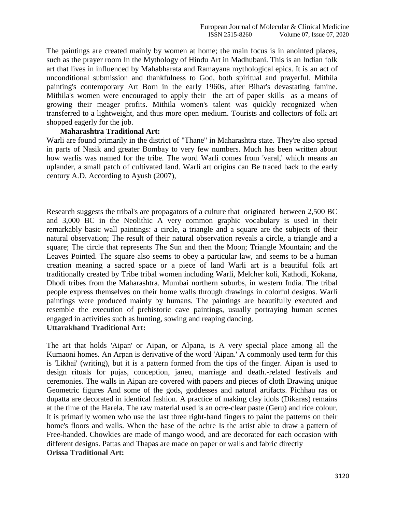The paintings are created mainly by women at home; the main focus is in anointed places, such as the prayer room In the Mythology of Hindu Art in Madhubani. This is an Indian folk art that lives in influenced by Mahabharata and Ramayana mythological epics. It is an act of unconditional submission and thankfulness to God, both spiritual and prayerful. Mithila painting's contemporary Art Born in the early 1960s, after Bihar's devastating famine. Mithila's women were encouraged to apply their the art of paper skills as a means of growing their meager profits. Mithila women's talent was quickly recognized when transferred to a lightweight, and thus more open medium. Tourists and collectors of folk art shopped eagerly for the job.

#### **Maharashtra Traditional Art:**

Warli are found primarily in the district of "Thane" in Maharashtra state. They're also spread in parts of Nasik and greater Bombay to very few numbers. Much has been written about how warlis was named for the tribe. The word Warli comes from 'varal,' which means an uplander, a small patch of cultivated land. Warli art origins can Be traced back to the early century A.D. According to Ayush (2007),

Research suggests the tribal's are propagators of a culture that originated between 2,500 BC and 3,000 BC in the Neolithic A very common graphic vocabulary is used in their remarkably basic wall paintings: a circle, a triangle and a square are the subjects of their natural observation; The result of their natural observation reveals a circle, a triangle and a square; The circle that represents The Sun and then the Moon; Triangle Mountain; and the Leaves Pointed. The square also seems to obey a particular law, and seems to be a human creation meaning a sacred space or a piece of land Warli art is a beautiful folk art traditionally created by Tribe tribal women including Warli, Melcher koli, Kathodi, Kokana, Dhodi tribes from the Maharashtra. Mumbai northern suburbs, in western India. The tribal people express themselves on their home walls through drawings in colorful designs. Warli paintings were produced mainly by humans. The paintings are beautifully executed and resemble the execution of prehistoric cave paintings, usually portraying human scenes engaged in activities such as hunting, sowing and reaping dancing. **Uttarakhand Traditional Art:**

The art that holds 'Aipan' or Aipan, or Alpana, is A very special place among all the Kumaoni homes. An Arpan is derivative of the word 'Aipan.' A commonly used term for this is 'Likhai' (writing), but it is a pattern formed from the tips of the finger. Aipan is used to design rituals for pujas, conception, janeu, marriage and death.-related festivals and ceremonies. The walls in Aipan are covered with papers and pieces of cloth Drawing unique Geometric figures And some of the gods, goddesses and natural artifacts. Pichhau ras or dupatta are decorated in identical fashion. A practice of making clay idols (Dikaras) remains at the time of the Harela. The raw material used is an ocre-clear paste (Geru) and rice colour. It is primarily women who use the last three right-hand fingers to paint the patterns on their home's floors and walls. When the base of the ochre Is the artist able to draw a pattern of Free-handed. Chowkies are made of mango wood, and are decorated for each occasion with different designs. Pattas and Thapas are made on paper or walls and fabric directly **Orissa Traditional Art:**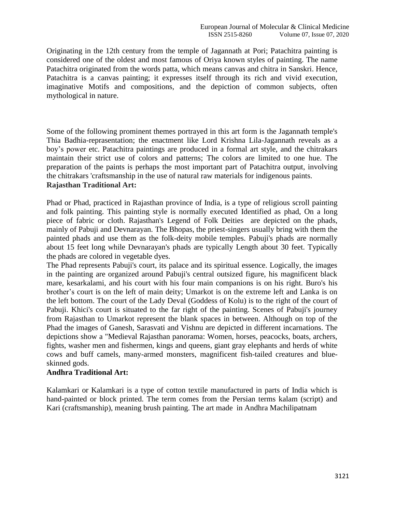Originating in the 12th century from the temple of Jagannath at Pori; Patachitra painting is considered one of the oldest and most famous of Oriya known styles of painting. The name Patachitra originated from the words patta, which means canvas and chitra in Sanskri. Hence, Patachitra is a canvas painting; it expresses itself through its rich and vivid execution, imaginative Motifs and compositions, and the depiction of common subjects, often mythological in nature.

Some of the following prominent themes portrayed in this art form is the Jagannath temple's Thia Badhia-reprasentation; the enactment like Lord Krishna Lila-Jagannath reveals as a boy's power etc. Patachitra paintings are produced in a formal art style, and the chitrakars maintain their strict use of colors and patterns; The colors are limited to one hue. The preparation of the paints is perhaps the most important part of Patachitra output, involving the chitrakars 'craftsmanship in the use of natural raw materials for indigenous paints. **Rajasthan Traditional Art:** 

Phad or Phad, practiced in Rajasthan province of India, is a type of religious scroll painting and folk painting. This painting style is normally executed Identified as phad, On a long piece of fabric or cloth. Rajasthan's Legend of Folk Deities are depicted on the phads, mainly of Pabuji and Devnarayan. The Bhopas, the priest-singers usually bring with them the painted phads and use them as the folk-deity mobile temples. Pabuji's phads are normally about 15 feet long while Devnarayan's phads are typically Length about 30 feet. Typically the phads are colored in vegetable dyes.

The Phad represents Pabuji's court, its palace and its spiritual essence. Logically, the images in the painting are organized around Pabuji's central outsized figure, his magnificent black mare, kesarkalami, and his court with his four main companions is on his right. Buro's his brother's court is on the left of main deity; Umarkot is on the extreme left and Lanka is on the left bottom. The court of the Lady Deval (Goddess of Kolu) is to the right of the court of Pabuji. Khici's court is situated to the far right of the painting. Scenes of Pabuji's journey from Rajasthan to Umarkot represent the blank spaces in between. Although on top of the Phad the images of Ganesh, Sarasvati and Vishnu are depicted in different incarnations. The depictions show a "Medieval Rajasthan panorama: Women, horses, peacocks, boats, archers, fights, washer men and fishermen, kings and queens, giant gray elephants and herds of white cows and buff camels, many-armed monsters, magnificent fish-tailed creatures and blueskinned gods.

# **Andhra Traditional Art:**

Kalamkari or Kalamkari is a type of cotton textile manufactured in parts of India which is hand-painted or block printed. The term comes from the Persian terms kalam (script) and Kari (craftsmanship), meaning brush painting. The art made in Andhra Machilipatnam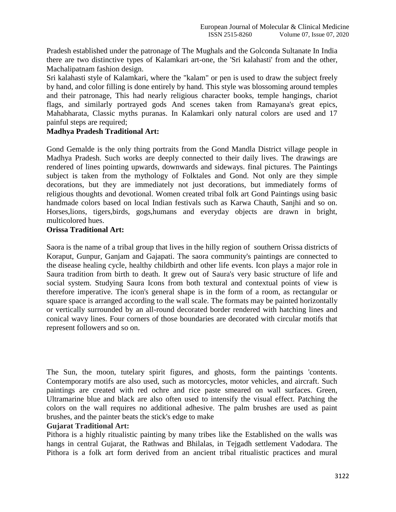Pradesh established under the patronage of The Mughals and the Golconda Sultanate In India there are two distinctive types of Kalamkari art-one, the 'Sri kalahasti' from and the other, Machalipatnam fashion design.

Sri kalahasti style of Kalamkari, where the "kalam" or pen is used to draw the subject freely by hand, and color filling is done entirely by hand. This style was blossoming around temples and their patronage, This had nearly religious character books, temple hangings, chariot flags, and similarly portrayed gods And scenes taken from Ramayana's great epics, Mahabharata, Classic myths puranas. In Kalamkari only natural colors are used and 17 painful steps are required;

# **Madhya Pradesh Traditional Art:**

Gond Gemalde is the only thing portraits from the Gond Mandla District village people in Madhya Pradesh. Such works are deeply connected to their daily lives. The drawings are rendered of lines pointing upwards, downwards and sideways. final pictures. The Paintings subject is taken from the mythology of Folktales and Gond. Not only are they simple decorations, but they are immediately not just decorations, but immediately forms of religious thoughts and devotional. Women created tribal folk art Gond Paintings using basic handmade colors based on local Indian festivals such as Karwa Chauth, Sanjhi and so on. Horses,lions, tigers,birds, gogs,humans and everyday objects are drawn in bright, multicolored hues.

## **Orissa Traditional Art:**

Saora is the name of a tribal group that lives in the hilly region of southern Orissa districts of Koraput, Gunpur, Ganjam and Gajapati. The saora community's paintings are connected to the disease healing cycle, healthy childbirth and other life events. Icon plays a major role in Saura tradition from birth to death. It grew out of Saura's very basic structure of life and social system. Studying Saura Icons from both textural and contextual points of view is therefore imperative. The icon's general shape is in the form of a room, as rectangular or square space is arranged according to the wall scale. The formats may be painted horizontally or vertically surrounded by an all-round decorated border rendered with hatching lines and conical wavy lines. Four corners of those boundaries are decorated with circular motifs that represent followers and so on.

The Sun, the moon, tutelary spirit figures, and ghosts, form the paintings 'contents. Contemporary motifs are also used, such as motorcycles, motor vehicles, and aircraft. Such paintings are created with red ochre and rice paste smeared on wall surfaces. Green, Ultramarine blue and black are also often used to intensify the visual effect. Patching the colors on the wall requires no additional adhesive. The palm brushes are used as paint brushes, and the painter beats the stick's edge to make

#### **Gujarat Traditional Art:**

Pithora is a highly ritualistic painting by many tribes like the Established on the walls was hangs in central Gujarat, the Rathwas and Bhilalas, in Tejgadh settlement Vadodara. The Pithora is a folk art form derived from an ancient tribal ritualistic practices and mural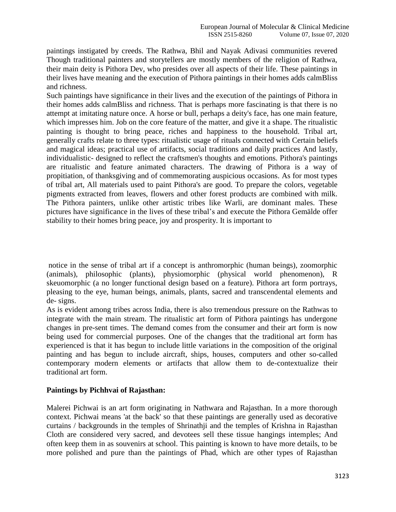paintings instigated by creeds. The Rathwa, Bhil and Nayak Adivasi communities revered Though traditional painters and storytellers are mostly members of the religion of Rathwa, their main deity is Pithora Dev, who presides over all aspects of their life. These paintings in their lives have meaning and the execution of Pithora paintings in their homes adds calmBliss and richness.

Such paintings have significance in their lives and the execution of the paintings of Pithora in their homes adds calmBliss and richness. That is perhaps more fascinating is that there is no attempt at imitating nature once. A horse or bull, perhaps a deity's face, has one main feature, which impresses him. Job on the core feature of the matter, and give it a shape. The ritualistic painting is thought to bring peace, riches and happiness to the household. Tribal art, generally crafts relate to three types: ritualistic usage of rituals connected with Certain beliefs and magical ideas; practical use of artifacts, social traditions and daily practices And lastly, individualistic- designed to reflect the craftsmen's thoughts and emotions. Pithora's paintings are ritualistic and feature animated characters. The drawing of Pithora is a way of propitiation, of thanksgiving and of commemorating auspicious occasions. As for most types of tribal art, All materials used to paint Pithora's are good. To prepare the colors, vegetable pigments extracted from leaves, flowers and other forest products are combined with milk. The Pithora painters, unlike other artistic tribes like Warli, are dominant males. These pictures have significance in the lives of these tribal's and execute the Pithora Gemälde offer stability to their homes bring peace, joy and prosperity. It is important to

notice in the sense of tribal art if a concept is anthromorphic (human beings), zoomorphic (animals), philosophic (plants), physiomorphic (physical world phenomenon), R skeuomorphic (a no longer functional design based on a feature). Pithora art form portrays, pleasing to the eye, human beings, animals, plants, sacred and transcendental elements and de- signs.

As is evident among tribes across India, there is also tremendous pressure on the Rathwas to integrate with the main stream. The ritualistic art form of Pithora paintings has undergone changes in pre-sent times. The demand comes from the consumer and their art form is now being used for commercial purposes. One of the changes that the traditional art form has experienced is that it has begun to include little variations in the composition of the original painting and has begun to include aircraft, ships, houses, computers and other so-called contemporary modern elements or artifacts that allow them to de-contextualize their traditional art form.

#### **Paintings by Pichhvai of Rajasthan:**

Malerei Pichwai is an art form originating in Nathwara and Rajasthan. In a more thorough context. Pichwai means 'at the back' so that these paintings are generally used as decorative curtains / backgrounds in the temples of Shrinathji and the temples of Krishna in Rajasthan Cloth are considered very sacred, and devotees sell these tissue hangings intemples; And often keep them in as souvenirs at school. This painting is known to have more details, to be more polished and pure than the paintings of Phad, which are other types of Rajasthan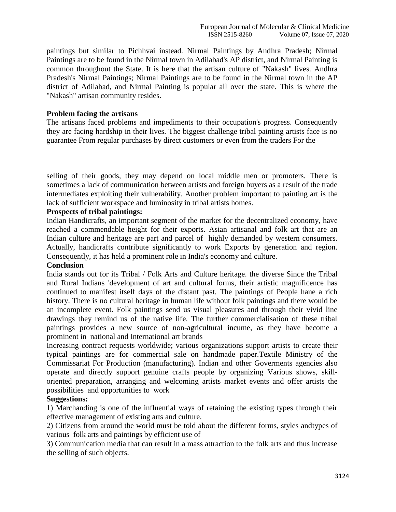paintings but similar to Pichhvai instead. Nirmal Paintings by Andhra Pradesh; Nirmal Paintings are to be found in the Nirmal town in Adilabad's AP district, and Nirmal Painting is common throughout the State. It is here that the artisan culture of "Nakash" lives. Andhra Pradesh's Nirmal Paintings; Nirmal Paintings are to be found in the Nirmal town in the AP district of Adilabad, and Nirmal Painting is popular all over the state. This is where the "Nakash" artisan community resides.

#### **Problem facing the artisans**

The artisans faced problems and impediments to their occupation's progress. Consequently they are facing hardship in their lives. The biggest challenge tribal painting artists face is no guarantee From regular purchases by direct customers or even from the traders For the

selling of their goods, they may depend on local middle men or promoters. There is sometimes a lack of communication between artists and foreign buyers as a result of the trade intermediates exploiting their vulnerability. Another problem important to painting art is the lack of sufficient workspace and luminosity in tribal artists homes.

#### **Prospects of tribal paintings:**

Indian Handicrafts, an important segment of the market for the decentralized economy, have reached a commendable height for their exports. Asian artisanal and folk art that are an Indian culture and heritage are part and parcel of highly demanded by western consumers. Actually, handicrafts contribute significantly to work Exports by generation and region. Consequently, it has held a prominent role in India's economy and culture.

#### **Conclusion**

India stands out for its Tribal / Folk Arts and Culture heritage. the diverse Since the Tribal and Rural Indians 'development of art and cultural forms, their artistic magnificence has continued to manifest itself days of the distant past. The paintings of People hane a rich history. There is no cultural heritage in human life without folk paintings and there would be an incomplete event. Folk paintings send us visual pleasures and through their vivid line drawings they remind us of the native life. The further commercialisation of these tribal paintings provides a new source of non-agricultural incume, as they have become a prominent in national and International art brands

Increasing contract requests worldwide; various organizations support artists to create their typical paintings are for commercial sale on handmade paper.Textile Ministry of the Commissariat For Production (manufacturing). Indian and other Goverments agencies also operate and directly support genuine crafts people by organizing Various shows, skilloriented preparation, arranging and welcoming artists market events and offer artists the possibilities and opportunities to work

#### **Suggestions:**

1) Marchanding is one of the influential ways of retaining the existing types through their effective management of existing arts and culture.

2) Citizens from around the world must be told about the different forms, styles andtypes of various folk arts and paintings by efficient use of

3) Communication media that can result in a mass attraction to the folk arts and thus increase the selling of such objects.